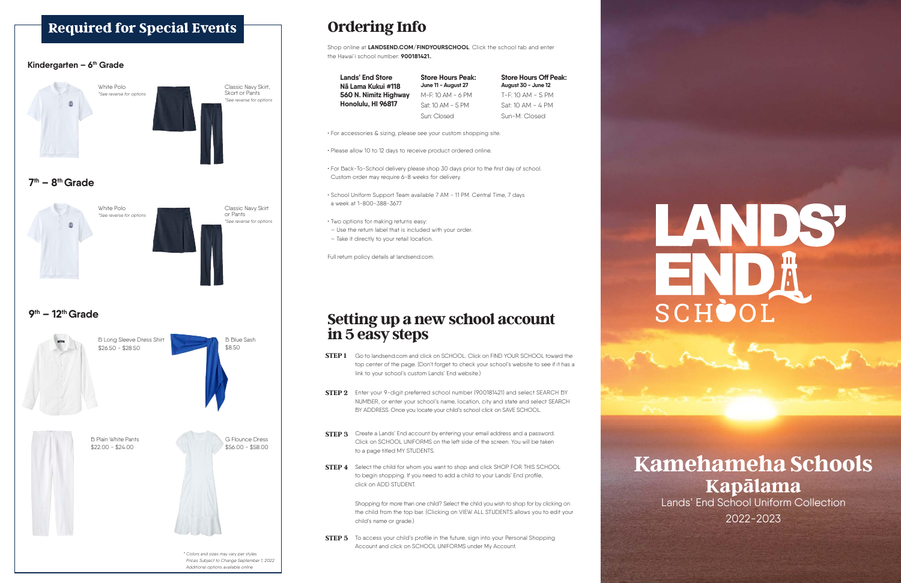## **Kamehameha Schools Kapālama**

Lands' End School Uniform Collection 2022-2023

#### **Setting up a new school account in 5 easy steps**

- Go to landsend.com and click on SCHOOL. Click on FIND YOUR SCHOOL toward the **STEP 1** top center of the page. (Don't forget to check your school's website to see if it has a link to your school's custom Lands' End website.)
- **STEP 2** Enter your 9-digit preferred school number (900181421) and select SEARCH BY NUMBER, or enter your school's name, location, city and state and select SEARCH BY ADDRESS. Once you locate your child's school click on SAVE SCHOOL.
- **STEP 3** Create a Lands' End account by entering your email address and a password. Click on SCHOOL UNIFORMS on the left side of the screen. You will be taken to a page titled MY STUDENTS.
- **STEP 4** Select the child for whom you want to shop and click SHOP FOR THIS SCHOOL to begin shopping. If you need to add a child to your Lands' End profile, click on ADD STUDENT.

**STEP 5** To access your child's profile in the future, sign into your Personal Shopping Account and click on SCHOOL UNIFORMS under My Account.

# LANDS  $\equiv$   $\sim$   $\parallel$ SCHÒC

Shopping for more than one child? Select the child you wish to shop for by clicking on the child from the top bar. (Clicking on VIEW ALL STUDENTS allows you to edit your child's name or grade.)

### **Ordering Info**

Shop online at **LANDSEND.COM/FINDYOURSCHOOL**. Click the school tab and enter the Hawai'i school number: **900181421.**.

• For accessories & sizing, please see your custom shopping site.

• Please allow 10 to 12 days to receive product ordered online.

• For Back-To-School delivery please shop 30 days prior to the first day of school. Custom order may require 6-8 weeks for delivery.

• School Uniform Support Team available 7 AM - 11 PM. Central Time, 7 days a week at 1-800-388-3677

• Two options for making returns easy:

– Use the return label that is included with your order.

#### **Required for Special Events**



– Take it directly to your retail location.

Full return policy details at landsend.com.

**Lands' End Store Nã Lama Kukui #118 560 N. Nimitz Highway Honolulu, HI 96817**

**Store Hours Peak: June 11 - August 27** M-F: 10 AM - 6 PM Sat: 10 AM - 5 PM Sun: Closed

**Store Hours Off Peak: August 30 - June 12** T-F: 10 AM - 5 PM Sat: 10 AM - 4 PM Sun-M: Closed